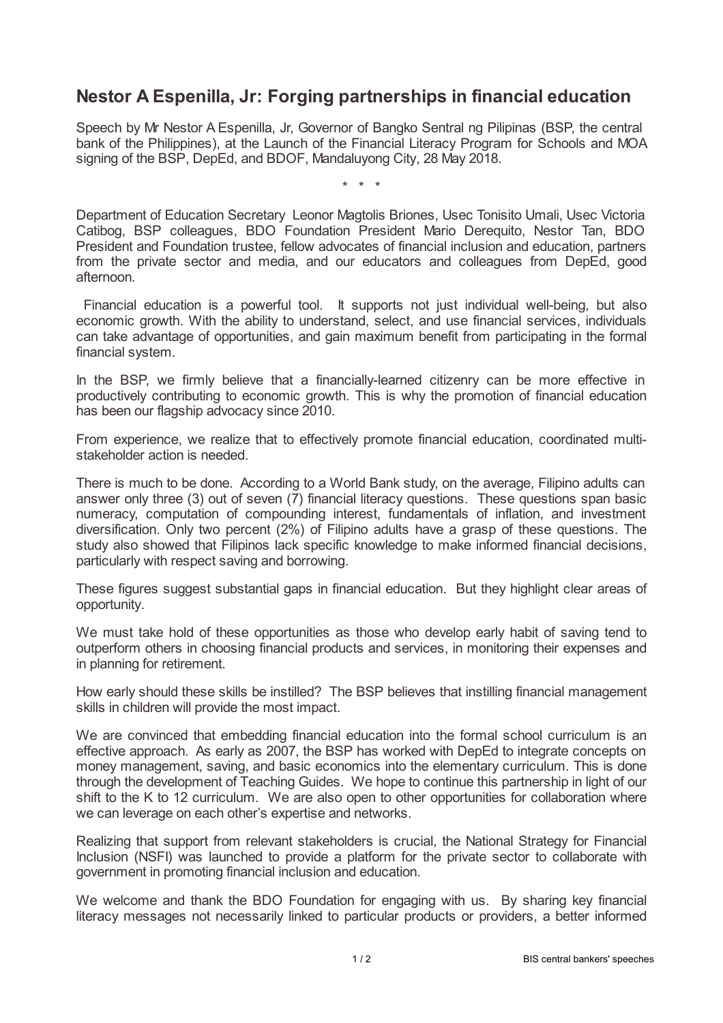## **Nestor A Espenilla, Jr: Forging partnerships in financial education**

Speech by Mr Nestor A Espenilla, Jr, Governor of Bangko Sentral ng Pilipinas (BSP, the central bank of the Philippines), at the Launch of the Financial Literacy Program for Schools and MOA signing of the BSP, DepEd, and BDOF, Mandaluyong City, 28 May 2018.

\* \* \*

Department of Education Secretary Leonor Magtolis Briones, Usec Tonisito Umali, Usec Victoria Catibog, BSP colleagues, BDO Foundation President Mario Derequito, Nestor Tan, BDO President and Foundation trustee, fellow advocates of financial inclusion and education, partners from the private sector and media, and our educators and colleagues from DepEd, good afternoon.

Financial education is a powerful tool. It supports not just individual well-being, but also economic growth. With the ability to understand, select, and use financial services, individuals can take advantage of opportunities, and gain maximum benefit from participating in the formal financial system.

In the BSP, we firmly believe that a financially-learned citizenry can be more effective in productively contributing to economic growth. This is why the promotion of financial education has been our flagship advocacy since 2010.

From experience, we realize that to effectively promote financial education, coordinated multistakeholder action is needed.

There is much to be done. According to a World Bank study, on the average, Filipino adults can answer only three (3) out of seven (7) financial literacy questions. These questions span basic numeracy, computation of compounding interest, fundamentals of inflation, and investment diversification. Only two percent (2%) of Filipino adults have a grasp of these questions. The study also showed that Filipinos lack specific knowledge to make informed financial decisions, particularly with respect saving and borrowing.

These figures suggest substantial gaps in financial education. But they highlight clear areas of opportunity.

We must take hold of these opportunities as those who develop early habit of saving tend to outperform others in choosing financial products and services, in monitoring their expenses and in planning for retirement.

How early should these skills be instilled? The BSP believes that instilling financial management skills in children will provide the most impact.

We are convinced that embedding financial education into the formal school curriculum is an effective approach. As early as 2007, the BSP has worked with DepEd to integrate concepts on money management, saving, and basic economics into the elementary curriculum. This is done through the development of Teaching Guides. We hope to continue this partnership in light of our shift to the K to 12 curriculum. We are also open to other opportunities for collaboration where we can leverage on each other's expertise and networks.

Realizing that support from relevant stakeholders is crucial, the National Strategy for Financial Inclusion (NSFI) was launched to provide a platform for the private sector to collaborate with government in promoting financial inclusion and education.

We welcome and thank the BDO Foundation for engaging with us. By sharing key financial literacy messages not necessarily linked to particular products or providers, a better informed